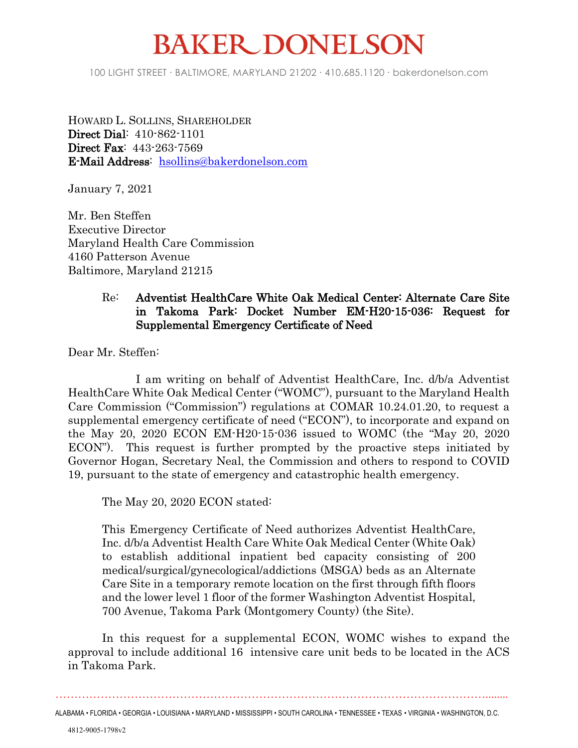## **BAKER DONELSON**

100 LIGHT STREET • BALTIMORE, MARYLAND 21202 • 410.685.1120 • bakerdonelson.com

HOWARD L. SOLLINS, SHAREHOLDER **Direct Dial**: 410-862-1101 **Direct Fax**: 443-263-7569 **E-Mail Address**: [hsollins@bakerdonelson.com](mailto:hsollins@bakerdonelson.com)

January 7, 2021

Mr. Ben Steffen Executive Director Maryland Health Care Commission 4160 Patterson Avenue Baltimore, Maryland 21215

## Re: **Adventist HealthCare White Oak Medical Center: Alternate Care Site in Takoma Park: Docket Number EM-H20-15-036: Request for Supplemental Emergency Certificate of Need**

Dear Mr. Steffen:

I am writing on behalf of Adventist HealthCare, Inc. d/b/a Adventist HealthCare White Oak Medical Center ("WOMC"), pursuant to the Maryland Health Care Commission ("Commission") regulations at COMAR 10.24.01.20, to request a supplemental emergency certificate of need ("ECON"), to incorporate and expand on the May 20, 2020 ECON EM-H20-15-036 issued to WOMC (the "May 20, 2020 ECON"). This request is further prompted by the proactive steps initiated by Governor Hogan, Secretary Neal, the Commission and others to respond to COVID 19, pursuant to the state of emergency and catastrophic health emergency.

The May 20, 2020 ECON stated:

This Emergency Certificate of Need authorizes Adventist HealthCare, Inc. d/b/a Adventist Health Care White Oak Medical Center (White Oak) to establish additional inpatient bed capacity consisting of 200 medical/surgical/gynecological/addictions (MSGA) beds as an Alternate Care Site in a temporary remote location on the first through fifth floors and the lower level 1 floor of the former Washington Adventist Hospital, 700 Avenue, Takoma Park (Montgomery County) (the Site).

In this request for a supplemental ECON, WOMC wishes to expand the approval to include additional 16 intensive care unit beds to be located in the ACS in Takoma Park.

……………………………………………………………………………………………………........

ALABAMA • FLORIDA • GEORGIA • LOUISIANA • MARYLAND • MISSISSIPPI • SOUTH CAROLINA • TENNESSEE • TEXAS • VIRGINIA • WASHINGTON, D.C.